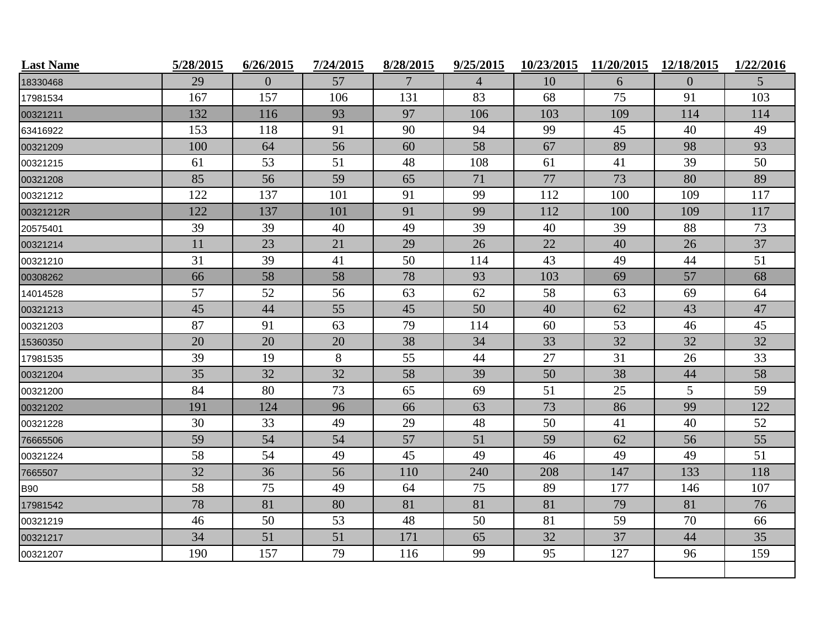| <b>Last Name</b> | 5/28/2015 | 6/26/2015      | 7/24/2015 | 8/28/2015 | 9/25/2015      | 10/23/2015 | 11/20/2015 | 12/18/2015      | 1/22/2016      |
|------------------|-----------|----------------|-----------|-----------|----------------|------------|------------|-----------------|----------------|
| 18330468         | 29        | $\overline{0}$ | 57        | 7         | $\overline{4}$ | 10         | 6          | $\mathbf{0}$    | 5 <sup>5</sup> |
| 17981534         | 167       | 157            | 106       | 131       | 83             | 68         | 75         | 91              | 103            |
| 00321211         | 132       | 116            | 93        | 97        | 106            | 103        | 109        | 114             | 114            |
| 63416922         | 153       | 118            | 91        | 90        | 94             | 99         | 45         | 40              | 49             |
| 00321209         | 100       | 64             | 56        | 60        | 58             | 67         | 89         | 98              | 93             |
| 00321215         | 61        | 53             | 51        | 48        | 108            | 61         | 41         | 39              | 50             |
| 00321208         | 85        | 56             | 59        | 65        | 71             | 77         | 73         | 80              | 89             |
| 00321212         | 122       | 137            | 101       | 91        | 99             | 112        | 100        | 109             | 117            |
| 00321212R        | 122       | 137            | 101       | 91        | 99             | 112        | 100        | 109             | 117            |
| 20575401         | 39        | 39             | 40        | 49        | 39             | 40         | 39         | 88              | 73             |
| 00321214         | 11        | 23             | 21        | 29        | 26             | 22         | 40         | 26              | 37             |
| 00321210         | 31        | 39             | 41        | 50        | 114            | 43         | 49         | 44              | 51             |
| 00308262         | 66        | 58             | 58        | 78        | 93             | 103        | 69         | 57              | 68             |
| 14014528         | 57        | 52             | 56        | 63        | 62             | 58         | 63         | 69              | 64             |
| 00321213         | 45        | 44             | 55        | 45        | 50             | 40         | 62         | 43              | 47             |
| 00321203         | 87        | 91             | 63        | 79        | 114            | 60         | 53         | 46              | 45             |
| 15360350         | 20        | 20             | 20        | 38        | 34             | 33         | 32         | 32              | 32             |
| 17981535         | 39        | 19             | 8         | 55        | 44             | 27         | 31         | 26              | 33             |
| 00321204         | 35        | 32             | 32        | 58        | 39             | 50         | 38         | 44              | 58             |
| 00321200         | 84        | 80             | 73        | 65        | 69             | 51         | 25         | $5\overline{)}$ | 59             |
| 00321202         | 191       | 124            | 96        | 66        | 63             | 73         | 86         | 99              | 122            |
| 00321228         | 30        | 33             | 49        | 29        | 48             | 50         | 41         | 40              | 52             |
| 76665506         | 59        | 54             | 54        | 57        | 51             | 59         | 62         | 56              | 55             |
| 00321224         | 58        | 54             | 49        | 45        | 49             | 46         | 49         | 49              | 51             |
| 7665507          | 32        | 36             | 56        | 110       | 240            | 208        | 147        | 133             | 118            |
| <b>B90</b>       | 58        | 75             | 49        | 64        | 75             | 89         | 177        | 146             | 107            |
| 17981542         | 78        | 81             | 80        | 81        | 81             | 81         | 79         | 81              | 76             |
| 00321219         | 46        | 50             | 53        | 48        | 50             | 81         | 59         | 70              | 66             |
| 00321217         | 34        | 51             | 51        | 171       | 65             | 32         | 37         | 44              | 35             |
| 00321207         | 190       | 157            | 79        | 116       | 99             | 95         | 127        | 96              | 159            |
|                  |           |                |           |           |                |            |            |                 |                |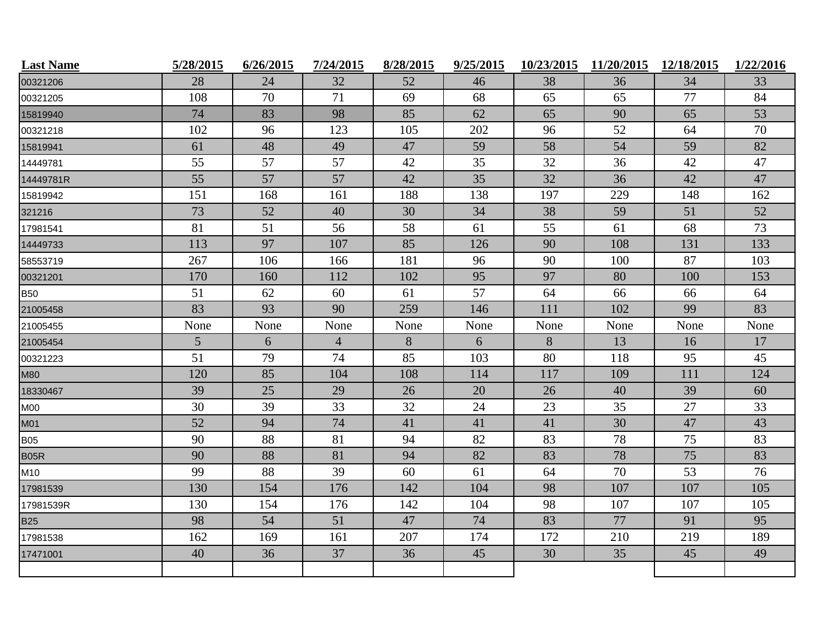| <b>Last Name</b> | 5/28/2015 | 6/26/2015 | 7/24/2015      | 8/28/2015 | 9/25/2015 | 10/23/2015 | 11/20/2015 | 12/18/2015 | 1/22/2016 |
|------------------|-----------|-----------|----------------|-----------|-----------|------------|------------|------------|-----------|
| 00321206         | 28        | 24        | 32             | 52        | 46        | 38         | 36         | 34         | 33        |
| 00321205         | 108       | 70        | 71             | 69        | 68        | 65         | 65         | 77         | 84        |
| 15819940         | 74        | 83        | 98             | 85        | 62        | 65         | 90         | 65         | 53        |
| 00321218         | 102       | 96        | 123            | 105       | 202       | 96         | 52         | 64         | 70        |
| 15819941         | 61        | 48        | 49             | 47        | 59        | 58         | 54         | 59         | 82        |
| 14449781         | 55        | 57        | 57             | 42        | 35        | 32         | 36         | 42         | 47        |
| 14449781R        | 55        | 57        | 57             | 42        | 35        | 32         | 36         | 42         | 47        |
| 15819942         | 151       | 168       | 161            | 188       | 138       | 197        | 229        | 148        | 162       |
| 321216           | 73        | 52        | 40             | 30        | 34        | 38         | 59         | 51         | 52        |
| 17981541         | 81        | 51        | 56             | 58        | 61        | 55         | 61         | 68         | 73        |
| 14449733         | 113       | 97        | 107            | 85        | 126       | 90         | 108        | 131        | 133       |
| 58553719         | 267       | 106       | 166            | 181       | 96        | 90         | 100        | 87         | 103       |
| 00321201         | 170       | 160       | 112            | 102       | 95        | 97         | 80         | 100        | 153       |
| <b>B50</b>       | 51        | 62        | 60             | 61        | 57        | 64         | 66         | 66         | 64        |
| 21005458         | 83        | 93        | 90             | 259       | 146       | 111        | 102        | 99         | 83        |
| 21005455         | None      | None      | None           | None      | None      | None       | None       | None       | None      |
| 21005454         | 5         | 6         | $\overline{4}$ | 8         | 6         | 8          | 13         | 16         | 17        |
| 00321223         | 51        | 79        | 74             | 85        | 103       | 80         | 118        | 95         | 45        |
| <b>M80</b>       | 120       | 85        | 104            | 108       | 114       | 117        | 109        | 111        | 124       |
| 18330467         | 39        | 25        | 29             | 26        | 20        | 26         | 40         | 39         | 60        |
| <b>M00</b>       | 30        | 39        | 33             | 32        | 24        | 23         | 35         | 27         | 33        |
| <b>M01</b>       | 52        | 94        | 74             | 41        | 41        | 41         | 30         | 47         | 43        |
| <b>B05</b>       | 90        | 88        | 81             | 94        | 82        | 83         | 78         | 75         | 83        |
| <b>B05R</b>      | 90        | 88        | 81             | 94        | 82        | 83         | 78         | 75         | 83        |
| M10              | 99        | 88        | 39             | 60        | 61        | 64         | 70         | 53         | 76        |
| 17981539         | 130       | 154       | 176            | 142       | 104       | 98         | 107        | 107        | 105       |
| 17981539R        | 130       | 154       | 176            | 142       | 104       | 98         | 107        | 107        | 105       |
| <b>B25</b>       | 98        | 54        | 51             | 47        | 74        | 83         | 77         | 91         | 95        |
| 17981538         | 162       | 169       | 161            | 207       | 174       | 172        | 210        | 219        | 189       |
| 17471001         | 40        | 36        | 37             | 36        | 45        | 30         | 35         | 45         | 49        |
|                  |           |           |                |           |           |            |            |            |           |